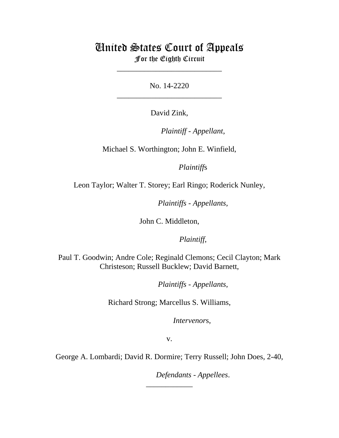# United States Court of Appeals For the Eighth Circuit

\_\_\_\_\_\_\_\_\_\_\_\_\_\_\_\_\_\_\_\_\_\_\_\_\_\_\_

No. 14-2220 \_\_\_\_\_\_\_\_\_\_\_\_\_\_\_\_\_\_\_\_\_\_\_\_\_\_\_

David Zink,

lllllllllllllllllllll *Plaintiff - Appellant*,

Michael S. Worthington; John E. Winfield,

*Plaintiffs* 

Leon Taylor; Walter T. Storey; Earl Ringo; Roderick Nunley,

*Plaintiffs - Appellants*,

John C. Middleton,

Plaintiff,

Paul T. Goodwin; Andre Cole; Reginald Clemons; Cecil Clayton; Mark Christeson; Russell Bucklew; David Barnett,

*Plaintiffs - Appellants*,

Richard Strong; Marcellus S. Williams,

Intervenors,

v.

George A. Lombardi; David R. Dormire; Terry Russell; John Does, 2-40,

\_\_\_\_\_\_\_\_\_\_\_\_

 $Defendants$  - Appellees.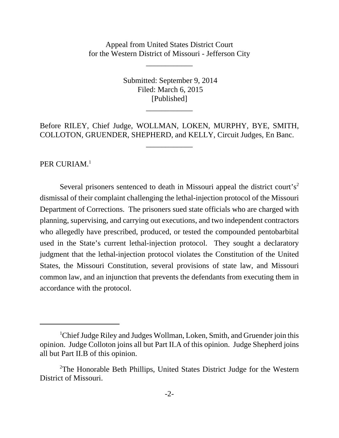Appeal from United States District Court for the Western District of Missouri - Jefferson City

\_\_\_\_\_\_\_\_\_\_\_\_

 Submitted: September 9, 2014 Filed: March 6, 2015 [Published]

Before RILEY, Chief Judge, WOLLMAN, LOKEN, MURPHY, BYE, SMITH, COLLOTON, GRUENDER, SHEPHERD, and KELLY, Circuit Judges, En Banc.

\_\_\_\_\_\_\_\_\_\_\_\_

\_\_\_\_\_\_\_\_\_\_\_\_

PER CURIAM.<sup>1</sup>

Several prisoners sentenced to death in Missouri appeal the district court's<sup>2</sup> dismissal of their complaint challenging the lethal-injection protocol of the Missouri Department of Corrections. The prisoners sued state officials who are charged with planning, supervising, and carrying out executions, and two independent contractors who allegedly have prescribed, produced, or tested the compounded pentobarbital used in the State's current lethal-injection protocol. They sought a declaratory judgment that the lethal-injection protocol violates the Constitution of the United States, the Missouri Constitution, several provisions of state law, and Missouri common law, and an injunction that prevents the defendants from executing them in accordance with the protocol.

<sup>&</sup>lt;sup>1</sup>Chief Judge Riley and Judges Wollman, Loken, Smith, and Gruender join this opinion. Judge Colloton joins all but Part II.A of this opinion. Judge Shepherd joins all but Part II.B of this opinion.

<sup>&</sup>lt;sup>2</sup>The Honorable Beth Phillips, United States District Judge for the Western District of Missouri.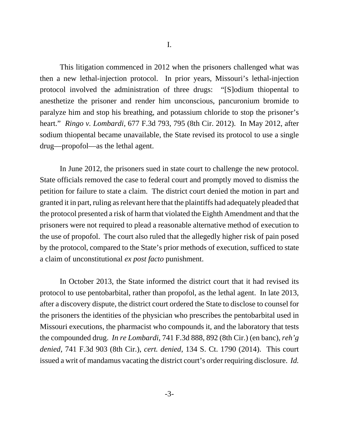This litigation commenced in 2012 when the prisoners challenged what was then a new lethal-injection protocol. In prior years, Missouri's lethal-injection protocol involved the administration of three drugs: "[S]odium thiopental to anesthetize the prisoner and render him unconscious, pancuronium bromide to paralyze him and stop his breathing, and potassium chloride to stop the prisoner's heart." *Ringo v. Lombardi*, 677 F.3d 793, 795 (8th Cir. 2012). In May 2012, after sodium thiopental became unavailable, the State revised its protocol to use a single drug—propofol—as the lethal agent.

In June 2012, the prisoners sued in state court to challenge the new protocol. State officials removed the case to federal court and promptly moved to dismiss the petition for failure to state a claim. The district court denied the motion in part and granted it in part, ruling as relevant here that the plaintiffs had adequately pleaded that the protocol presented a risk of harm that violated the Eighth Amendment and that the prisoners were not required to plead a reasonable alternative method of execution to the use of propofol. The court also ruled that the allegedly higher risk of pain posed by the protocol, compared to the State's prior methods of execution, sufficed to state a claim of unconstitutional *ex post facto* punishment.

In October 2013, the State informed the district court that it had revised its protocol to use pentobarbital, rather than propofol, as the lethal agent. In late 2013, after a discovery dispute, the district court ordered the State to disclose to counsel for the prisoners the identities of the physician who prescribes the pentobarbital used in Missouri executions, the pharmacist who compounds it, and the laboratory that tests the compounded drug. *In re Lombardi*, 741 F.3d 888, 892 (8th Cir.) (en banc), *reh'g denied*, 741 F.3d 903 (8th Cir.), *cert. denied*, 134 S. Ct. 1790 (2014). This court issued a writ of mandamus vacating the district court's order requiring disclosure. *Id.*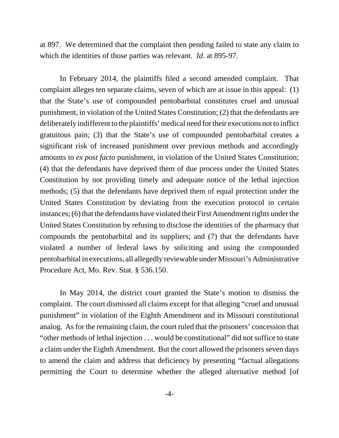at 897. We determined that the complaint then pending failed to state any claim to which the identities of those parties was relevant. *Id.* at 895-97.

In February 2014, the plaintiffs filed a second amended complaint. That complaint alleges ten separate claims, seven of which are at issue in this appeal: (1) that the State's use of compounded pentobarbital constitutes cruel and unusual punishment, in violation of the United States Constitution; (2) that the defendants are deliberately indifferent to the plaintiffs' medical need for their executions not to inflict gratuitous pain; (3) that the State's use of compounded pentobarbital creates a significant risk of increased punishment over previous methods and accordingly amounts to *ex post facto* punishment, in violation of the United States Constitution; (4) that the defendants have deprived them of due process under the United States Constitution by not providing timely and adequate notice of the lethal injection methods; (5) that the defendants have deprived them of equal protection under the United States Constitution by deviating from the execution protocol in certain instances; (6) that the defendants have violated their First Amendment rights under the United States Constitution by refusing to disclose the identities of the pharmacy that compounds the pentobarbital and its suppliers; and (7) that the defendants have violated a number of federal laws by soliciting and using the compounded pentobarbital in executions, all allegedly reviewable under Missouri's Administrative Procedure Act, Mo. Rev. Stat. § 536.150.

In May 2014, the district court granted the State's motion to dismiss the complaint. The court dismissed all claims except for that alleging "cruel and unusual punishment" in violation of the Eighth Amendment and its Missouri constitutional analog. As for the remaining claim, the court ruled that the prisoners' concession that "other methods of lethal injection . . . would be constitutional" did not suffice to state a claim under the Eighth Amendment. But the court allowed the prisoners seven days to amend the claim and address that deficiency by presenting "factual allegations permitting the Court to determine whether the alleged alternative method [of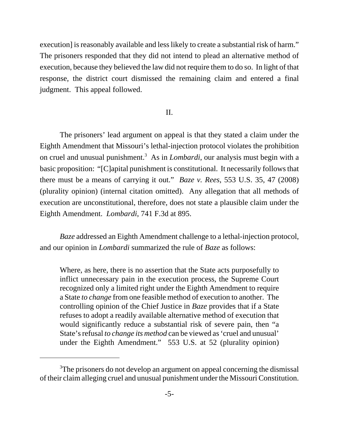execution] is reasonably available and less likely to create a substantial risk of harm." The prisoners responded that they did not intend to plead an alternative method of execution, because they believed the law did not require them to do so. In light of that response, the district court dismissed the remaining claim and entered a final judgment. This appeal followed.

# II.

The prisoners' lead argument on appeal is that they stated a claim under the Eighth Amendment that Missouri's lethal-injection protocol violates the prohibition on cruel and unusual punishment.<sup>3</sup> As in *Lombardi*, our analysis must begin with a basic proposition: "[C]apital punishment is constitutional. It necessarily follows that there must be a means of carrying it out." *Baze v. Rees*, 553 U.S. 35, 47 (2008) (plurality opinion) (internal citation omitted). Any allegation that all methods of execution are unconstitutional, therefore, does not state a plausible claim under the Eighth Amendment. *Lombardi*, 741 F.3d at 895.

*Baze* addressed an Eighth Amendment challenge to a lethal-injection protocol, and our opinion in *Lombardi* summarized the rule of *Baze* as follows:

Where, as here, there is no assertion that the State acts purposefully to inflict unnecessary pain in the execution process, the Supreme Court recognized only a limited right under the Eighth Amendment to require a State *to change* from one feasible method of execution to another. The controlling opinion of the Chief Justice in *Baze* provides that if a State refuses to adopt a readily available alternative method of execution that would significantly reduce a substantial risk of severe pain, then "a State's refusal *to change its method* can be viewed as 'cruel and unusual' under the Eighth Amendment." 553 U.S. at 52 (plurality opinion)

<sup>&</sup>lt;sup>3</sup>The prisoners do not develop an argument on appeal concerning the dismissal of their claim alleging cruel and unusual punishment under the Missouri Constitution.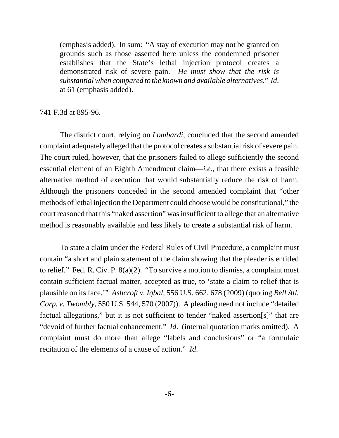(emphasis added). In sum: "A stay of execution may not be granted on grounds such as those asserted here unless the condemned prisoner establishes that the State's lethal injection protocol creates a demonstrated risk of severe pain. *He must show that the risk is substantial when compared to the known and available alternatives.*" *Id*. at 61 (emphasis added).

741 F.3d at 895-96.

The district court, relying on *Lombardi*, concluded that the second amended complaint adequately alleged that the protocol creates a substantial risk of severe pain. The court ruled, however, that the prisoners failed to allege sufficiently the second essential element of an Eighth Amendment claim—*i.e.*, that there exists a feasible alternative method of execution that would substantially reduce the risk of harm. Although the prisoners conceded in the second amended complaint that "other methods of lethal injection the Department could choose would be constitutional," the court reasoned that this "naked assertion" was insufficient to allege that an alternative method is reasonably available and less likely to create a substantial risk of harm.

To state a claim under the Federal Rules of Civil Procedure, a complaint must contain "a short and plain statement of the claim showing that the pleader is entitled to relief." Fed. R. Civ. P. 8(a)(2). "To survive a motion to dismiss, a complaint must contain sufficient factual matter, accepted as true, to 'state a claim to relief that is plausible on its face.'" *Ashcroft v. Iqbal*, 556 U.S. 662, 678 (2009) (quoting *Bell Atl. Corp. v. Twombly*, 550 U.S. 544, 570 (2007)). A pleading need not include "detailed factual allegations," but it is not sufficient to tender "naked assertion[s]" that are "devoid of further factual enhancement." *Id*. (internal quotation marks omitted). A complaint must do more than allege "labels and conclusions" or "a formulaic recitation of the elements of a cause of action." *Id*.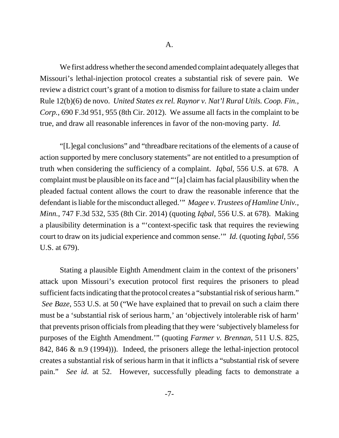We first address whether the second amended complaint adequately alleges that Missouri's lethal-injection protocol creates a substantial risk of severe pain. We review a district court's grant of a motion to dismiss for failure to state a claim under Rule 12(b)(6) de novo. *United States ex rel. Raynor v. Nat'l Rural Utils. Coop. Fin., Corp.*, 690 F.3d 951, 955 (8th Cir. 2012). We assume all facts in the complaint to be true, and draw all reasonable inferences in favor of the non-moving party. *Id.*

"[L]egal conclusions" and "threadbare recitations of the elements of a cause of action supported by mere conclusory statements" are not entitled to a presumption of truth when considering the sufficiency of a complaint. *Iqbal*, 556 U.S. at 678. A complaint must be plausible on its face and "'[a] claim has facial plausibility when the pleaded factual content allows the court to draw the reasonable inference that the defendant is liable for the misconduct alleged.'" *Magee v. Trustees of Hamline Univ., Minn.*, 747 F.3d 532, 535 (8th Cir. 2014) (quoting *Iqbal*, 556 U.S. at 678). Making a plausibility determination is a "'context-specific task that requires the reviewing court to draw on its judicial experience and common sense.'" *Id.* (quoting *Iqbal*, 556 U.S. at 679).

Stating a plausible Eighth Amendment claim in the context of the prisoners' attack upon Missouri's execution protocol first requires the prisoners to plead sufficient facts indicating that the protocol creates a "substantial risk of serious harm."  *See Baze*, 553 U.S. at 50 ("We have explained that to prevail on such a claim there must be a 'substantial risk of serious harm,' an 'objectively intolerable risk of harm' that prevents prison officials from pleading that they were 'subjectively blameless for purposes of the Eighth Amendment.'" (quoting *Farmer v. Brennan*, 511 U.S. 825, 842, 846 & n.9 (1994))). Indeed, the prisoners allege the lethal-injection protocol creates a substantial risk of serious harm in that it inflicts a "substantial risk of severe pain." *See id.* at 52. However, successfully pleading facts to demonstrate a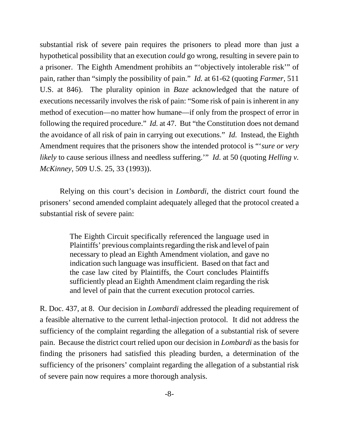substantial risk of severe pain requires the prisoners to plead more than just a hypothetical possibility that an execution *could* go wrong, resulting in severe pain to a prisoner. The Eighth Amendment prohibits an "'objectively intolerable risk'" of pain, rather than "simply the possibility of pain." *Id.* at 61-62 (quoting *Farmer*, 511 U.S. at 846). The plurality opinion in *Baze* acknowledged that the nature of executions necessarily involves the risk of pain: "Some risk of pain is inherent in any method of execution—no matter how humane—if only from the prospect of error in following the required procedure." *Id.* at 47. But "the Constitution does not demand the avoidance of all risk of pain in carrying out executions." *Id.* Instead, the Eighth Amendment requires that the prisoners show the intended protocol is "'*sure or very likely* to cause serious illness and needless suffering.'" *Id*. at 50 (quoting *Helling v. McKinney*, 509 U.S. 25, 33 (1993)).

Relying on this court's decision in *Lombardi*, the district court found the prisoners' second amended complaint adequately alleged that the protocol created a substantial risk of severe pain:

> The Eighth Circuit specifically referenced the language used in Plaintiffs' previous complaints regarding the risk and level of pain necessary to plead an Eighth Amendment violation, and gave no indication such language was insufficient. Based on that fact and the case law cited by Plaintiffs, the Court concludes Plaintiffs sufficiently plead an Eighth Amendment claim regarding the risk and level of pain that the current execution protocol carries.

R. Doc. 437, at 8. Our decision in *Lombardi* addressed the pleading requirement of a feasible alternative to the current lethal-injection protocol. It did not address the sufficiency of the complaint regarding the allegation of a substantial risk of severe pain. Because the district court relied upon our decision in *Lombardi* as the basis for finding the prisoners had satisfied this pleading burden, a determination of the sufficiency of the prisoners' complaint regarding the allegation of a substantial risk of severe pain now requires a more thorough analysis.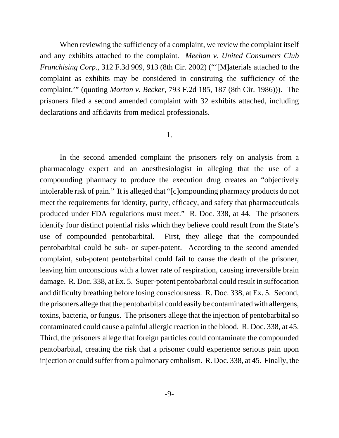When reviewing the sufficiency of a complaint, we review the complaint itself and any exhibits attached to the complaint. *Meehan v. United Consumers Club Franchising Corp.*, 312 F.3d 909, 913 (8th Cir. 2002) ("'[M]aterials attached to the complaint as exhibits may be considered in construing the sufficiency of the complaint.'" (quoting *Morton v. Becker*, 793 F.2d 185, 187 (8th Cir. 1986))). The prisoners filed a second amended complaint with 32 exhibits attached, including declarations and affidavits from medical professionals.

## 1.

In the second amended complaint the prisoners rely on analysis from a pharmacology expert and an anesthesiologist in alleging that the use of a compounding pharmacy to produce the execution drug creates an "objectively intolerable risk of pain." It is alleged that "[c]ompounding pharmacy products do not meet the requirements for identity, purity, efficacy, and safety that pharmaceuticals produced under FDA regulations must meet." R. Doc. 338, at 44. The prisoners identify four distinct potential risks which they believe could result from the State's use of compounded pentobarbital. First, they allege that the compounded pentobarbital could be sub- or super-potent. According to the second amended complaint, sub-potent pentobarbital could fail to cause the death of the prisoner, leaving him unconscious with a lower rate of respiration, causing irreversible brain damage. R. Doc. 338, at Ex. 5. Super-potent pentobarbital could result in suffocation and difficulty breathing before losing consciousness. R. Doc. 338, at Ex. 5. Second, the prisoners allege that the pentobarbital could easily be contaminated with allergens, toxins, bacteria, or fungus. The prisoners allege that the injection of pentobarbital so contaminated could cause a painful allergic reaction in the blood. R. Doc. 338, at 45. Third, the prisoners allege that foreign particles could contaminate the compounded pentobarbital, creating the risk that a prisoner could experience serious pain upon injection or could suffer from a pulmonary embolism. R. Doc. 338, at 45. Finally, the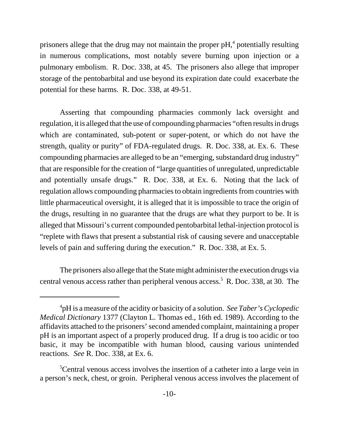prisoners allege that the drug may not maintain the proper  $pH<sub>1</sub><sup>4</sup>$  potentially resulting in numerous complications, most notably severe burning upon injection or a pulmonary embolism. R. Doc. 338, at 45. The prisoners also allege that improper storage of the pentobarbital and use beyond its expiration date could exacerbate the potential for these harms. R. Doc. 338, at 49-51.

Asserting that compounding pharmacies commonly lack oversight and regulation, it is alleged that the use of compounding pharmacies "often results in drugs which are contaminated, sub-potent or super-potent, or which do not have the strength, quality or purity" of FDA-regulated drugs. R. Doc. 338, at. Ex. 6. These compounding pharmacies are alleged to be an "emerging, substandard drug industry" that are responsible for the creation of "large quantities of unregulated, unpredictable and potentially unsafe drugs." R. Doc. 338, at Ex. 6. Noting that the lack of regulation allows compounding pharmacies to obtain ingredients from countries with little pharmaceutical oversight, it is alleged that it is impossible to trace the origin of the drugs, resulting in no guarantee that the drugs are what they purport to be. It is alleged that Missouri's current compounded pentobarbital lethal-injection protocol is "replete with flaws that present a substantial risk of causing severe and unacceptable levels of pain and suffering during the execution." R. Doc. 338, at Ex. 5.

The prisoners also allege that the State might administer the execution drugs via central venous access rather than peripheral venous access.<sup>5</sup> R. Doc. 338, at 30. The

<sup>4</sup> pH is a measure of the acidity or basicity of a solution. *See Taber's Cyclopedic Medical Dictionary* 1377 (Clayton L. Thomas ed., 16th ed. 1989). According to the affidavits attached to the prisoners' second amended complaint, maintaining a proper pH is an important aspect of a properly produced drug. If a drug is too acidic or too basic, it may be incompatible with human blood, causing various unintended reactions. *See* R. Doc. 338, at Ex. 6.

<sup>&</sup>lt;sup>5</sup>Central venous access involves the insertion of a catheter into a large vein in a person's neck, chest, or groin. Peripheral venous access involves the placement of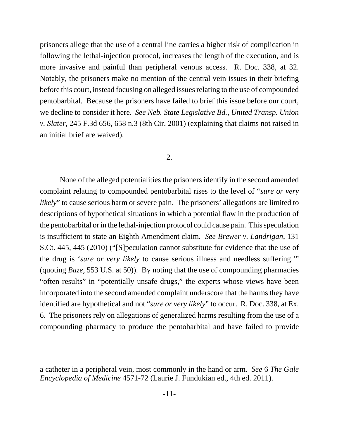prisoners allege that the use of a central line carries a higher risk of complication in following the lethal-injection protocol, increases the length of the execution, and is more invasive and painful than peripheral venous access. R. Doc. 338, at 32. Notably, the prisoners make no mention of the central vein issues in their briefing before this court, instead focusing on alleged issues relating to the use of compounded pentobarbital. Because the prisoners have failed to brief this issue before our court, we decline to consider it here. *See Neb. State Legislative Bd., United Transp. Union v. Slater*, 245 F.3d 656, 658 n.3 (8th Cir. 2001) (explaining that claims not raised in an initial brief are waived).

## 2.

None of the alleged potentialities the prisoners identify in the second amended complaint relating to compounded pentobarbital rises to the level of "*sure or very likely*" to cause serious harm or severe pain. The prisoners' allegations are limited to descriptions of hypothetical situations in which a potential flaw in the production of the pentobarbital or in the lethal-injection protocol could cause pain. This speculation is insufficient to state an Eighth Amendment claim. *See Brewer v. Landrigan*, 131 S.Ct. 445, 445 (2010) ("[S]peculation cannot substitute for evidence that the use of the drug is '*sure or very likely* to cause serious illness and needless suffering.'" (quoting *Baze*, 553 U.S. at 50)). By noting that the use of compounding pharmacies "often results" in "potentially unsafe drugs," the experts whose views have been incorporated into the second amended complaint underscore that the harms they have identified are hypothetical and not "*sure or very likely*" to occur. R. Doc. 338, at Ex. 6. The prisoners rely on allegations of generalized harms resulting from the use of a compounding pharmacy to produce the pentobarbital and have failed to provide

a catheter in a peripheral vein, most commonly in the hand or arm. *See* 6 *The Gale Encyclopedia of Medicine* 4571-72 (Laurie J. Fundukian ed., 4th ed. 2011).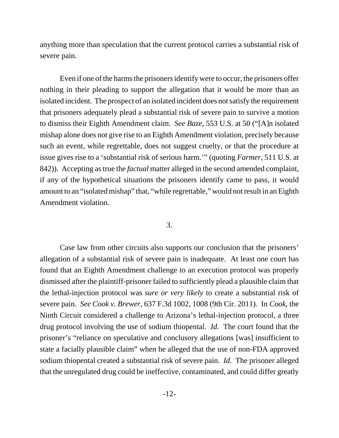anything more than speculation that the current protocol carries a substantial risk of severe pain.

Even if one of the harms the prisoners identify were to occur, the prisoners offer nothing in their pleading to support the allegation that it would be more than an isolated incident. The prospect of an isolated incident does not satisfy the requirement that prisoners adequately plead a substantial risk of severe pain to survive a motion to dismiss their Eighth Amendment claim. *See Baze*, 553 U.S. at 50 ("[A]n isolated mishap alone does not give rise to an Eighth Amendment violation, precisely because such an event, while regrettable, does not suggest cruelty, or that the procedure at issue gives rise to a 'substantial risk of serious harm.'" (quoting *Farmer*, 511 U.S. at 842)). Accepting as true the *factual* matter alleged in the second amended complaint, if any of the hypothetical situations the prisoners identify came to pass, it would amount to an "isolated mishap" that, "while regrettable," would not result in an Eighth Amendment violation.

### 3.

Case law from other circuits also supports our conclusion that the prisoners' allegation of a substantial risk of severe pain is inadequate. At least one court has found that an Eighth Amendment challenge to an execution protocol was properly dismissed after the plaintiff-prisoner failed to sufficiently plead a plausible claim that the lethal-injection protocol was *sure or very likely* to create a substantial risk of severe pain. *See Cook v. Brewer*, 637 F.3d 1002, 1008 (9th Cir. 2011). In *Cook*, the Ninth Circuit considered a challenge to Arizona's lethal-injection protocol, a three drug protocol involving the use of sodium thiopental. *Id.* The court found that the prisoner's "reliance on speculative and conclusory allegations [was] insufficient to state a facially plausible claim" when he alleged that the use of non-FDA approved sodium thiopental created a substantial risk of severe pain. *Id.* The prisoner alleged that the unregulated drug could be ineffective, contaminated, and could differ greatly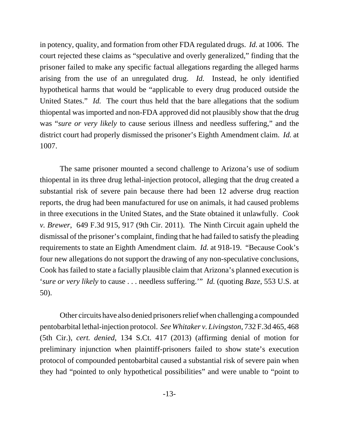in potency, quality, and formation from other FDA regulated drugs. *Id.* at 1006. The court rejected these claims as "speculative and overly generalized," finding that the prisoner failed to make any specific factual allegations regarding the alleged harms arising from the use of an unregulated drug. *Id.* Instead, he only identified hypothetical harms that would be "applicable to every drug produced outside the United States." *Id.* The court thus held that the bare allegations that the sodium thiopental was imported and non-FDA approved did not plausibly show that the drug was "*sure or very likely* to cause serious illness and needless suffering," and the district court had properly dismissed the prisoner's Eighth Amendment claim. *Id.* at 1007.

The same prisoner mounted a second challenge to Arizona's use of sodium thiopental in its three drug lethal-injection protocol, alleging that the drug created a substantial risk of severe pain because there had been 12 adverse drug reaction reports, the drug had been manufactured for use on animals, it had caused problems in three executions in the United States, and the State obtained it unlawfully. *Cook v. Brewer*, 649 F.3d 915, 917 (9th Cir. 2011). The Ninth Circuit again upheld the dismissal of the prisoner's complaint, finding that he had failed to satisfy the pleading requirements to state an Eighth Amendment claim. *Id.* at 918-19. "Because Cook's four new allegations do not support the drawing of any non-speculative conclusions, Cook has failed to state a facially plausible claim that Arizona's planned execution is '*sure or very likely* to cause . . . needless suffering.'" *Id.* (quoting *Baze*, 553 U.S. at 50).

Other circuits have also denied prisoners relief when challenging a compounded pentobarbital lethal-injection protocol. *See Whitaker v. Livingston*, 732 F.3d 465, 468 (5th Cir.), *cert. denied*, 134 S.Ct. 417 (2013) (affirming denial of motion for preliminary injunction when plaintiff-prisoners failed to show state's execution protocol of compounded pentobarbital caused a substantial risk of severe pain when they had "pointed to only hypothetical possibilities" and were unable to "point to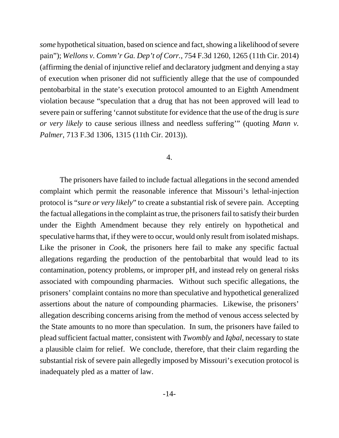*some* hypothetical situation, based on science and fact, showing a likelihood of severe pain"); *Wellons v. Comm'r Ga. Dep't of Corr.*, 754 F.3d 1260, 1265 (11th Cir. 2014) (affirming the denial of injunctive relief and declaratory judgment and denying a stay of execution when prisoner did not sufficiently allege that the use of compounded pentobarbital in the state's execution protocol amounted to an Eighth Amendment violation because "speculation that a drug that has not been approved will lead to severe pain or suffering 'cannot substitute for evidence that the use of the drug is *sure or very likely* to cause serious illness and needless suffering'" (quoting *Mann v. Palmer*, 713 F.3d 1306, 1315 (11th Cir. 2013)).

#### 4.

The prisoners have failed to include factual allegations in the second amended complaint which permit the reasonable inference that Missouri's lethal-injection protocol is "*sure or very likely*" to create a substantial risk of severe pain. Accepting the factual allegations in the complaint as true, the prisoners fail to satisfy their burden under the Eighth Amendment because they rely entirely on hypothetical and speculative harms that, if they were to occur, would only result from isolated mishaps. Like the prisoner in *Cook*, the prisoners here fail to make any specific factual allegations regarding the production of the pentobarbital that would lead to its contamination, potency problems, or improper pH, and instead rely on general risks associated with compounding pharmacies. Without such specific allegations, the prisoners' complaint contains no more than speculative and hypothetical generalized assertions about the nature of compounding pharmacies. Likewise, the prisoners' allegation describing concerns arising from the method of venous access selected by the State amounts to no more than speculation. In sum, the prisoners have failed to plead sufficient factual matter, consistent with *Twombly* and *Iqbal*, necessary to state a plausible claim for relief. We conclude, therefore, that their claim regarding the substantial risk of severe pain allegedly imposed by Missouri's execution protocol is inadequately pled as a matter of law.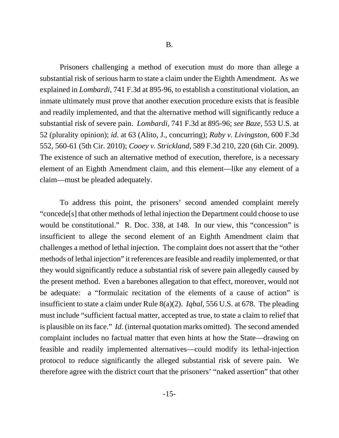Prisoners challenging a method of execution must do more than allege a substantial risk of serious harm to state a claim under the Eighth Amendment. As we explained in *Lombardi*, 741 F.3d at 895-96, to establish a constitutional violation, an inmate ultimately must prove that another execution procedure exists that is feasible and readily implemented, and that the alternative method will significantly reduce a substantial risk of severe pain. *Lombardi*, 741 F.3d at 895-96; *see Baze*, 553 U.S. at 52 (plurality opinion); *id.* at 63 (Alito, J., concurring); *Raby v. Livingston*, 600 F.3d 552, 560-61 (5th Cir. 2010); *Cooey v. Strickland*, 589 F.3d 210, 220 (6th Cir. 2009). The existence of such an alternative method of execution, therefore, is a necessary element of an Eighth Amendment claim, and this element—like any element of a claim—must be pleaded adequately.

To address this point, the prisoners' second amended complaint merely "concede[s] that other methods of lethal injection the Department could choose to use would be constitutional." R. Doc. 338, at 148. In our view, this "concession" is insufficient to allege the second element of an Eighth Amendment claim that challenges a method of lethal injection. The complaint does not assert that the "other methods of lethal injection" it references are feasible and readily implemented, or that they would significantly reduce a substantial risk of severe pain allegedly caused by the present method. Even a barebones allegation to that effect, moreover, would not be adequate: a "formulaic recitation of the elements of a cause of action" is insufficient to state a claim under Rule 8(a)(2). *Iqbal*, 556 U.S. at 678. The pleading must include "sufficient factual matter, accepted as true, to state a claim to relief that is plausible on its face." *Id*. (internal quotation marks omitted). The second amended complaint includes no factual matter that even hints at how the State—drawing on feasible and readily implemented alternatives—could modify its lethal-injection protocol to reduce significantly the alleged substantial risk of severe pain. We therefore agree with the district court that the prisoners' "naked assertion" that other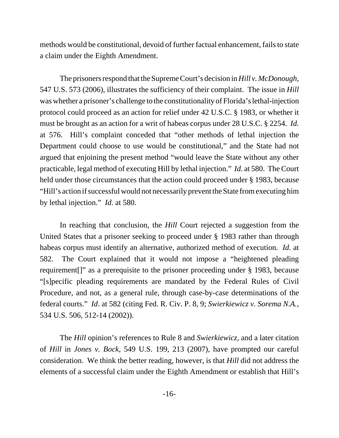methods would be constitutional, devoid of further factual enhancement, fails to state a claim under the Eighth Amendment.

The prisoners respond that the Supreme Court's decision in *Hill v. McDonough*, 547 U.S. 573 (2006), illustrates the sufficiency of their complaint. The issue in *Hill* was whether a prisoner's challenge to the constitutionality of Florida's lethal-injection protocol could proceed as an action for relief under 42 U.S.C. § 1983, or whether it must be brought as an action for a writ of habeas corpus under 28 U.S.C. § 2254. *Id.* at 576. Hill's complaint conceded that "other methods of lethal injection the Department could choose to use would be constitutional," and the State had not argued that enjoining the present method "would leave the State without any other practicable, legal method of executing Hill by lethal injection." *Id.* at 580. The Court held under those circumstances that the action could proceed under § 1983, because "Hill's action if successful would not necessarily prevent the State from executing him by lethal injection." *Id*. at 580.

In reaching that conclusion, the *Hill* Court rejected a suggestion from the United States that a prisoner seeking to proceed under § 1983 rather than through habeas corpus must identify an alternative, authorized method of execution. *Id.* at 582. The Court explained that it would not impose a "heightened pleading requirement[]" as a prerequisite to the prisoner proceeding under § 1983, because "[s]pecific pleading requirements are mandated by the Federal Rules of Civil Procedure, and not, as a general rule, through case-by-case determinations of the federal courts." *Id*. at 582 (citing Fed. R. Civ. P. 8, 9; *Swierkiewicz v. Sorema N.A.*, 534 U.S. 506, 512-14 (2002)).

The *Hill* opinion's references to Rule 8 and *Swierkiewicz*, and a later citation of *Hill* in *Jones v. Bock*, 549 U.S. 199, 213 (2007), have prompted our careful consideration. We think the better reading, however, is that *Hill* did not address the elements of a successful claim under the Eighth Amendment or establish that Hill's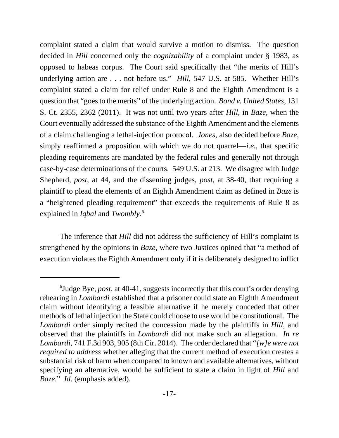complaint stated a claim that would survive a motion to dismiss. The question decided in *Hill* concerned only the *cognizability* of a complaint under § 1983, as opposed to habeas corpus. The Court said specifically that "the merits of Hill's underlying action are . . . not before us." *Hill*, 547 U.S. at 585. Whether Hill's complaint stated a claim for relief under Rule 8 and the Eighth Amendment is a question that "goes to the merits" of the underlying action. *Bond v. United States*, 131 S. Ct. 2355, 2362 (2011). It was not until two years after *Hill*, in *Baze*, when the Court eventually addressed the substance of the Eighth Amendment and the elements of a claim challenging a lethal-injection protocol. *Jones*, also decided before *Baze*, simply reaffirmed a proposition with which we do not quarrel—*i.e.*, that specific pleading requirements are mandated by the federal rules and generally not through case-by-case determinations of the courts. 549 U.S. at 213. We disagree with Judge Shepherd, *post*, at 44, and the dissenting judges, *post*, at 38-40, that requiring a plaintiff to plead the elements of an Eighth Amendment claim as defined in *Baze* is a "heightened pleading requirement" that exceeds the requirements of Rule 8 as explained in *Iqbal* and *Twombly*. 6

The inference that *Hill* did not address the sufficiency of Hill's complaint is strengthened by the opinions in *Baze*, where two Justices opined that "a method of execution violates the Eighth Amendment only if it is deliberately designed to inflict

<sup>6</sup> Judge Bye, *post*, at 40-41, suggests incorrectly that this court's order denying rehearing in *Lombardi* established that a prisoner could state an Eighth Amendment claim without identifying a feasible alternative if he merely conceded that other methods of lethal injection the State could choose to use would be constitutional. The *Lombardi* order simply recited the concession made by the plaintiffs in *Hill*, and observed that the plaintiffs in *Lombardi* did not make such an allegation. *In re Lombardi*, 741 F.3d 903, 905 (8th Cir. 2014). The order declared that "*[w]e were not required to address* whether alleging that the current method of execution creates a substantial risk of harm when compared to known and available alternatives, without specifying an alternative, would be sufficient to state a claim in light of *Hill* and *Baze*." *Id*. (emphasis added).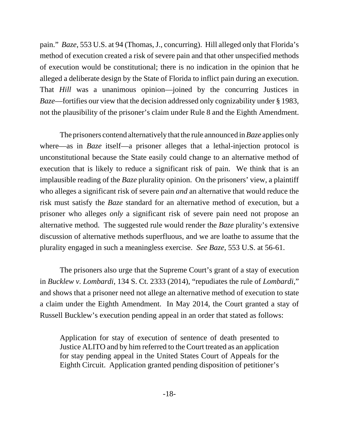pain." *Baze*, 553 U.S. at 94 (Thomas, J., concurring). Hill alleged only that Florida's method of execution created a risk of severe pain and that other unspecified methods of execution would be constitutional; there is no indication in the opinion that he alleged a deliberate design by the State of Florida to inflict pain during an execution. That *Hill* was a unanimous opinion—joined by the concurring Justices in *Baze*—fortifies our view that the decision addressed only cognizability under § 1983, not the plausibility of the prisoner's claim under Rule 8 and the Eighth Amendment.

The prisoners contend alternatively that the rule announced in *Baze* applies only where—as in *Baze* itself—a prisoner alleges that a lethal-injection protocol is unconstitutional because the State easily could change to an alternative method of execution that is likely to reduce a significant risk of pain. We think that is an implausible reading of the *Baze* plurality opinion. On the prisoners' view, a plaintiff who alleges a significant risk of severe pain *and* an alternative that would reduce the risk must satisfy the *Baze* standard for an alternative method of execution, but a prisoner who alleges *only* a significant risk of severe pain need not propose an alternative method. The suggested rule would render the *Baze* plurality's extensive discussion of alternative methods superfluous, and we are loathe to assume that the plurality engaged in such a meaningless exercise. *See Baze*, 553 U.S. at 56-61.

The prisoners also urge that the Supreme Court's grant of a stay of execution in *Bucklew v. Lombardi*, 134 S. Ct. 2333 (2014), "repudiates the rule of *Lombardi*," and shows that a prisoner need not allege an alternative method of execution to state a claim under the Eighth Amendment. In May 2014, the Court granted a stay of Russell Bucklew's execution pending appeal in an order that stated as follows:

Application for stay of execution of sentence of death presented to Justice ALITO and by him referred to the Court treated as an application for stay pending appeal in the United States Court of Appeals for the Eighth Circuit. Application granted pending disposition of petitioner's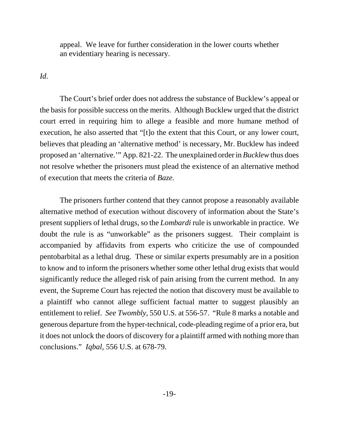appeal. We leave for further consideration in the lower courts whether an evidentiary hearing is necessary.

# *Id*.

The Court's brief order does not address the substance of Bucklew's appeal or the basis for possible success on the merits. Although Bucklew urged that the district court erred in requiring him to allege a feasible and more humane method of execution, he also asserted that "[t]o the extent that this Court, or any lower court, believes that pleading an 'alternative method' is necessary, Mr. Bucklew has indeed proposed an 'alternative.'" App. 821-22. The unexplained order in *Bucklew* thus does not resolve whether the prisoners must plead the existence of an alternative method of execution that meets the criteria of *Baze*.

The prisoners further contend that they cannot propose a reasonably available alternative method of execution without discovery of information about the State's present suppliers of lethal drugs, so the *Lombardi* rule is unworkable in practice. We doubt the rule is as "unworkable" as the prisoners suggest. Their complaint is accompanied by affidavits from experts who criticize the use of compounded pentobarbital as a lethal drug. These or similar experts presumably are in a position to know and to inform the prisoners whether some other lethal drug exists that would significantly reduce the alleged risk of pain arising from the current method. In any event, the Supreme Court has rejected the notion that discovery must be available to a plaintiff who cannot allege sufficient factual matter to suggest plausibly an entitlement to relief. *See Twombly*, 550 U.S. at 556-57. "Rule 8 marks a notable and generous departure from the hyper-technical, code-pleading regime of a prior era, but it does not unlock the doors of discovery for a plaintiff armed with nothing more than conclusions." *Iqbal*, 556 U.S. at 678-79.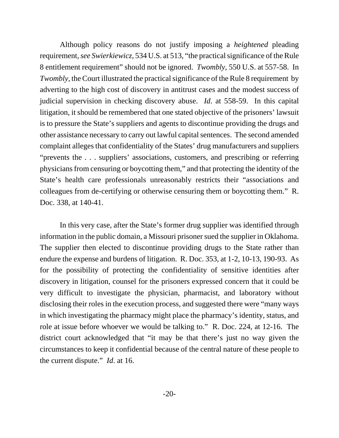Although policy reasons do not justify imposing a *heightened* pleading requirement, *see Swierkiewicz*, 534 U.S. at 513, "the practical significance of the Rule 8 entitlement requirement" should not be ignored. *Twombly*, 550 U.S. at 557-58. In *Twombly*, the Court illustrated the practical significance of the Rule 8 requirement by adverting to the high cost of discovery in antitrust cases and the modest success of judicial supervision in checking discovery abuse. *Id*. at 558-59. In this capital litigation, it should be remembered that one stated objective of the prisoners' lawsuit is to pressure the State's suppliers and agents to discontinue providing the drugs and other assistance necessary to carry out lawful capital sentences. The second amended complaint alleges that confidentiality of the States' drug manufacturers and suppliers "prevents the . . . suppliers' associations, customers, and prescribing or referring physicians from censuring or boycotting them," and that protecting the identity of the State's health care professionals unreasonably restricts their "associations and colleagues from de-certifying or otherwise censuring them or boycotting them." R. Doc. 338, at 140-41.

In this very case, after the State's former drug supplier was identified through information in the public domain, a Missouri prisoner sued the supplier in Oklahoma. The supplier then elected to discontinue providing drugs to the State rather than endure the expense and burdens of litigation. R. Doc. 353, at 1-2, 10-13, 190-93. As for the possibility of protecting the confidentiality of sensitive identities after discovery in litigation, counsel for the prisoners expressed concern that it could be very difficult to investigate the physician, pharmacist, and laboratory without disclosing their roles in the execution process, and suggested there were "many ways in which investigating the pharmacy might place the pharmacy's identity, status, and role at issue before whoever we would be talking to." R. Doc. 224, at 12-16. The district court acknowledged that "it may be that there's just no way given the circumstances to keep it confidential because of the central nature of these people to the current dispute." *Id*. at 16.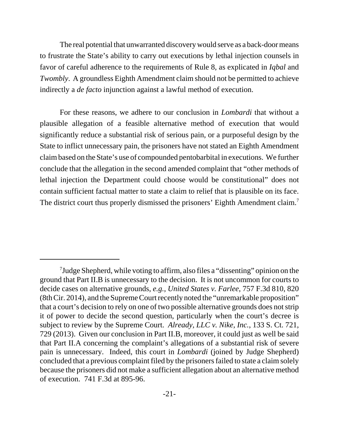The real potential that unwarranted discovery would serve as a back-door means to frustrate the State's ability to carry out executions by lethal injection counsels in favor of careful adherence to the requirements of Rule 8, as explicated in *Iqbal* and *Twombly*. A groundless Eighth Amendment claim should not be permitted to achieve indirectly a *de facto* injunction against a lawful method of execution.

For these reasons, we adhere to our conclusion in *Lombardi* that without a plausible allegation of a feasible alternative method of execution that would significantly reduce a substantial risk of serious pain, or a purposeful design by the State to inflict unnecessary pain, the prisoners have not stated an Eighth Amendment claim based on the State's use of compounded pentobarbital in executions. We further conclude that the allegation in the second amended complaint that "other methods of lethal injection the Department could choose would be constitutional" does not contain sufficient factual matter to state a claim to relief that is plausible on its face. The district court thus properly dismissed the prisoners' Eighth Amendment claim.<sup>7</sup>

<sup>&</sup>lt;sup>7</sup>Judge Shepherd, while voting to affirm, also files a "dissenting" opinion on the ground that Part II.B is unnecessary to the decision. It is not uncommon for courts to decide cases on alternative grounds, *e.g.*, *United States v. Farlee*, 757 F.3d 810, 820 (8th Cir. 2014), and the Supreme Court recently noted the "unremarkable proposition" that a court's decision to rely on one of two possible alternative grounds does not strip it of power to decide the second question, particularly when the court's decree is subject to review by the Supreme Court. *Already, LLC v. Nike, Inc.*, 133 S. Ct. 721, 729 (2013). Given our conclusion in Part II.B, moreover, it could just as well be said that Part II.A concerning the complaint's allegations of a substantial risk of severe pain is unnecessary. Indeed, this court in *Lombardi* (joined by Judge Shepherd) concluded that a previous complaint filed by the prisoners failed to state a claim solely because the prisoners did not make a sufficient allegation about an alternative method of execution. 741 F.3d at 895-96.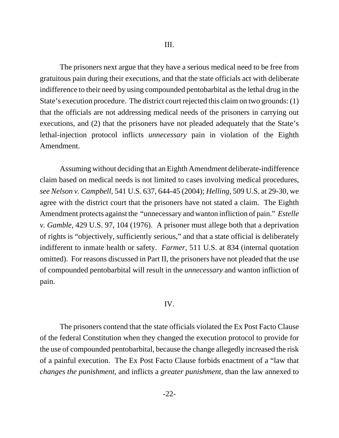The prisoners next argue that they have a serious medical need to be free from gratuitous pain during their executions, and that the state officials act with deliberate indifference to their need by using compounded pentobarbital as the lethal drug in the State's execution procedure. The district court rejected this claim on two grounds: (1) that the officials are not addressing medical needs of the prisoners in carrying out executions, and (2) that the prisoners have not pleaded adequately that the State's lethal-injection protocol inflicts *unnecessary* pain in violation of the Eighth Amendment.

Assuming without deciding that an Eighth Amendment deliberate-indifference claim based on medical needs is not limited to cases involving medical procedures, *see Nelson v. Campbell*, 541 U.S. 637, 644-45 (2004); *Helling*, 509 U.S. at 29-30, we agree with the district court that the prisoners have not stated a claim. The Eighth Amendment protects against the "unnecessary and wanton infliction of pain." *Estelle v. Gamble*, 429 U.S. 97, 104 (1976). A prisoner must allege both that a deprivation of rights is "objectively, sufficiently serious," and that a state official is deliberately indifferent to inmate health or safety. *Farmer*, 511 U.S. at 834 (internal quotation omitted). For reasons discussed in Part II, the prisoners have not pleaded that the use of compounded pentobarbital will result in the *unnecessary* and wanton infliction of pain.

## IV.

The prisoners contend that the state officials violated the Ex Post Facto Clause of the federal Constitution when they changed the execution protocol to provide for the use of compounded pentobarbital, because the change allegedly increased the risk of a painful execution. The Ex Post Facto Clause forbids enactment of a "law that *changes the punishment*, and inflicts a *greater punishment*, than the law annexed to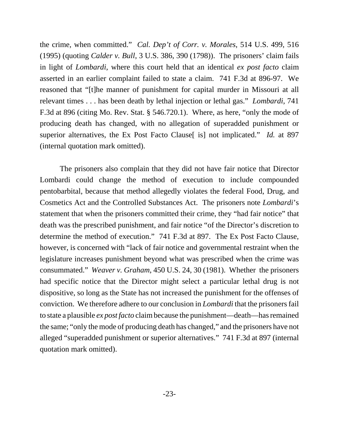the crime, when committed." *Cal. Dep't of Corr. v. Morales*, 514 U.S. 499, 516 (1995) (quoting *Calder v. Bull*, 3 U.S. 386, 390 (1798)). The prisoners' claim fails in light of *Lombardi*, where this court held that an identical *ex post facto* claim asserted in an earlier complaint failed to state a claim. 741 F.3d at 896-97. We reasoned that "[t]he manner of punishment for capital murder in Missouri at all relevant times . . . has been death by lethal injection or lethal gas." *Lombardi*, 741 F.3d at 896 (citing Mo. Rev. Stat. § 546.720.1). Where, as here, "only the mode of producing death has changed, with no allegation of superadded punishment or superior alternatives, the Ex Post Facto Clause [is] not implicated." *Id.* at 897 (internal quotation mark omitted).

The prisoners also complain that they did not have fair notice that Director Lombardi could change the method of execution to include compounded pentobarbital, because that method allegedly violates the federal Food, Drug, and Cosmetics Act and the Controlled Substances Act. The prisoners note *Lombardi*'s statement that when the prisoners committed their crime, they "had fair notice" that death was the prescribed punishment, and fair notice "of the Director's discretion to determine the method of execution." 741 F.3d at 897. The Ex Post Facto Clause, however, is concerned with "lack of fair notice and governmental restraint when the legislature increases punishment beyond what was prescribed when the crime was consummated." *Weaver v. Graham*, 450 U.S. 24, 30 (1981). Whether the prisoners had specific notice that the Director might select a particular lethal drug is not dispositive, so long as the State has not increased the punishment for the offenses of conviction. We therefore adhere to our conclusion in *Lombardi* that the prisoners fail to state a plausible *ex post facto* claim because the punishment—death—has remained the same; "only the mode of producing death has changed," and the prisoners have not alleged "superadded punishment or superior alternatives." 741 F.3d at 897 (internal quotation mark omitted).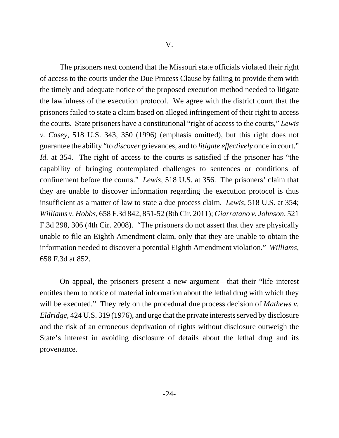The prisoners next contend that the Missouri state officials violated their right of access to the courts under the Due Process Clause by failing to provide them with the timely and adequate notice of the proposed execution method needed to litigate the lawfulness of the execution protocol. We agree with the district court that the prisoners failed to state a claim based on alleged infringement of their right to access the courts. State prisoners have a constitutional "right of access to the courts," *Lewis v. Casey*, 518 U.S. 343, 350 (1996) (emphasis omitted), but this right does not guarantee the ability "to *discover* grievances, and to *litigate effectively* once in court." *Id.* at 354. The right of access to the courts is satisfied if the prisoner has "the capability of bringing contemplated challenges to sentences or conditions of confinement before the courts." *Lewis*, 518 U.S. at 356. The prisoners' claim that they are unable to discover information regarding the execution protocol is thus insufficient as a matter of law to state a due process claim. *Lewis*, 518 U.S. at 354; *Williams v. Hobbs*, 658 F.3d 842, 851-52 (8th Cir. 2011); *Giarratano v. Johnson*, 521 F.3d 298, 306 (4th Cir. 2008). "The prisoners do not assert that they are physically unable to file an Eighth Amendment claim, only that they are unable to obtain the information needed to discover a potential Eighth Amendment violation." *Williams*, 658 F.3d at 852.

On appeal, the prisoners present a new argument—that their "life interest entitles them to notice of material information about the lethal drug with which they will be executed." They rely on the procedural due process decision of *Mathews v*. *Eldridge*, 424 U.S. 319 (1976), and urge that the private interests served by disclosure and the risk of an erroneous deprivation of rights without disclosure outweigh the State's interest in avoiding disclosure of details about the lethal drug and its provenance.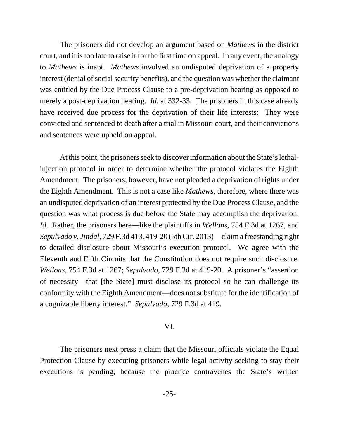The prisoners did not develop an argument based on *Mathews* in the district court, and it is too late to raise it for the first time on appeal. In any event, the analogy to *Mathews* is inapt. *Mathews* involved an undisputed deprivation of a property interest (denial of social security benefits), and the question was whether the claimant was entitled by the Due Process Clause to a pre-deprivation hearing as opposed to merely a post-deprivation hearing. *Id.* at 332-33. The prisoners in this case already have received due process for the deprivation of their life interests: They were convicted and sentenced to death after a trial in Missouri court, and their convictions and sentences were upheld on appeal.

At this point, the prisoners seek to discover information about the State's lethalinjection protocol in order to determine whether the protocol violates the Eighth Amendment. The prisoners, however, have not pleaded a deprivation of rights under the Eighth Amendment. This is not a case like *Mathews*, therefore, where there was an undisputed deprivation of an interest protected by the Due Process Clause, and the question was what process is due before the State may accomplish the deprivation. *Id.* Rather, the prisoners here—like the plaintiffs in *Wellons*, 754 F.3d at 1267, and *Sepulvado v. Jindal*, 729 F.3d 413, 419-20 (5th Cir. 2013)—claim a freestanding right to detailed disclosure about Missouri's execution protocol. We agree with the Eleventh and Fifth Circuits that the Constitution does not require such disclosure. *Wellons*, 754 F.3d at 1267; *Sepulvado*, 729 F.3d at 419-20. A prisoner's "assertion of necessity—that [the State] must disclose its protocol so he can challenge its conformity with the Eighth Amendment—does not substitute for the identification of a cognizable liberty interest." *Sepulvado*, 729 F.3d at 419.

# VI.

The prisoners next press a claim that the Missouri officials violate the Equal Protection Clause by executing prisoners while legal activity seeking to stay their executions is pending, because the practice contravenes the State's written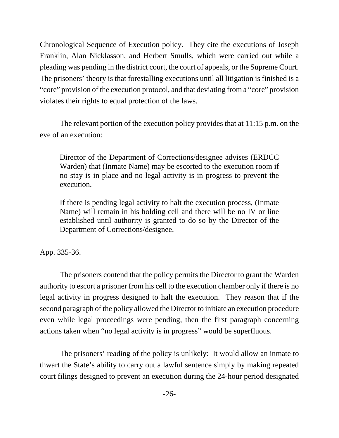Chronological Sequence of Execution policy. They cite the executions of Joseph Franklin, Alan Nicklasson, and Herbert Smulls, which were carried out while a pleading was pending in the district court, the court of appeals, or the Supreme Court. The prisoners' theory is that forestalling executions until all litigation is finished is a "core" provision of the execution protocol, and that deviating from a "core" provision violates their rights to equal protection of the laws.

The relevant portion of the execution policy provides that at 11:15 p.m. on the eve of an execution:

Director of the Department of Corrections/designee advises (ERDCC Warden) that (Inmate Name) may be escorted to the execution room if no stay is in place and no legal activity is in progress to prevent the execution.

If there is pending legal activity to halt the execution process, (Inmate Name) will remain in his holding cell and there will be no IV or line established until authority is granted to do so by the Director of the Department of Corrections/designee.

App. 335-36.

The prisoners contend that the policy permits the Director to grant the Warden authority to escort a prisoner from his cell to the execution chamber only if there is no legal activity in progress designed to halt the execution. They reason that if the second paragraph of the policy allowed the Director to initiate an execution procedure even while legal proceedings were pending, then the first paragraph concerning actions taken when "no legal activity is in progress" would be superfluous.

The prisoners' reading of the policy is unlikely: It would allow an inmate to thwart the State's ability to carry out a lawful sentence simply by making repeated court filings designed to prevent an execution during the 24-hour period designated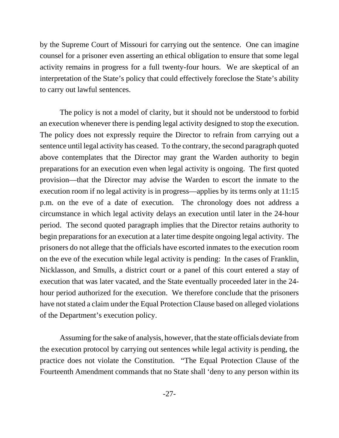by the Supreme Court of Missouri for carrying out the sentence. One can imagine counsel for a prisoner even asserting an ethical obligation to ensure that some legal activity remains in progress for a full twenty-four hours. We are skeptical of an interpretation of the State's policy that could effectively foreclose the State's ability to carry out lawful sentences.

The policy is not a model of clarity, but it should not be understood to forbid an execution whenever there is pending legal activity designed to stop the execution. The policy does not expressly require the Director to refrain from carrying out a sentence until legal activity has ceased. To the contrary, the second paragraph quoted above contemplates that the Director may grant the Warden authority to begin preparations for an execution even when legal activity is ongoing. The first quoted provision—that the Director may advise the Warden to escort the inmate to the execution room if no legal activity is in progress—applies by its terms only at 11:15 p.m. on the eve of a date of execution. The chronology does not address a circumstance in which legal activity delays an execution until later in the 24-hour period. The second quoted paragraph implies that the Director retains authority to begin preparations for an execution at a later time despite ongoing legal activity. The prisoners do not allege that the officials have escorted inmates to the execution room on the eve of the execution while legal activity is pending: In the cases of Franklin, Nicklasson, and Smulls, a district court or a panel of this court entered a stay of execution that was later vacated, and the State eventually proceeded later in the 24 hour period authorized for the execution. We therefore conclude that the prisoners have not stated a claim under the Equal Protection Clause based on alleged violations of the Department's execution policy.

Assuming for the sake of analysis, however, that the state officials deviate from the execution protocol by carrying out sentences while legal activity is pending, the practice does not violate the Constitution. "The Equal Protection Clause of the Fourteenth Amendment commands that no State shall 'deny to any person within its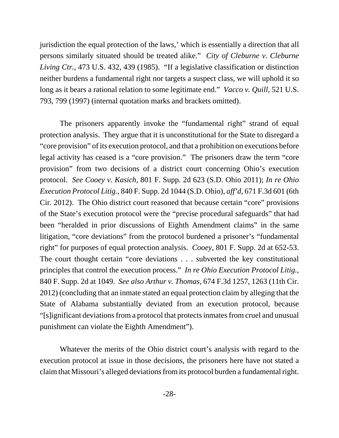jurisdiction the equal protection of the laws,' which is essentially a direction that all persons similarly situated should be treated alike." *City of Cleburne v. Cleburne Living Ctr.*, 473 U.S. 432, 439 (1985). "If a legislative classification or distinction neither burdens a fundamental right nor targets a suspect class, we will uphold it so long as it bears a rational relation to some legitimate end." *Vacco v. Quill*, 521 U.S. 793, 799 (1997) (internal quotation marks and brackets omitted).

The prisoners apparently invoke the "fundamental right" strand of equal protection analysis. They argue that it is unconstitutional for the State to disregard a "core provision" of its execution protocol, and that a prohibition on executions before legal activity has ceased is a "core provision." The prisoners draw the term "core provision" from two decisions of a district court concerning Ohio's execution protocol. *See Cooey v. Kasich*, 801 F. Supp. 2d 623 (S.D. Ohio 2011); *In re Ohio Execution Protocol Litig.*, 840 F. Supp. 2d 1044 (S.D. Ohio), *aff'd*, 671 F.3d 601 (6th Cir. 2012). The Ohio district court reasoned that because certain "core" provisions of the State's execution protocol were the "precise procedural safeguards" that had been "heralded in prior discussions of Eighth Amendment claims" in the same litigation, "core deviations" from the protocol burdened a prisoner's "fundamental right" for purposes of equal protection analysis. *Cooey*, 801 F. Supp. 2d at 652-53. The court thought certain "core deviations . . . subverted the key constitutional principles that control the execution process." *In re Ohio Execution Protocol Litig.*, 840 F. Supp. 2d at 1049. *See also Arthur v. Thomas*, 674 F.3d 1257, 1263 (11th Cir. 2012) (concluding that an inmate stated an equal protection claim by alleging that the State of Alabama substantially deviated from an execution protocol, because "[s]ignificant deviations from a protocol that protects inmates from cruel and unusual punishment can violate the Eighth Amendment").

Whatever the merits of the Ohio district court's analysis with regard to the execution protocol at issue in those decisions, the prisoners here have not stated a claim that Missouri's alleged deviations from its protocol burden a fundamental right.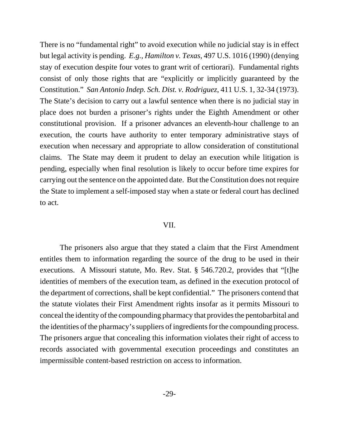There is no "fundamental right" to avoid execution while no judicial stay is in effect but legal activity is pending. *E.g.*, *Hamilton v. Texas*, 497 U.S. 1016 (1990) (denying stay of execution despite four votes to grant writ of certiorari). Fundamental rights consist of only those rights that are "explicitly or implicitly guaranteed by the Constitution." *San Antonio Indep. Sch. Dist. v. Rodriguez*, 411 U.S. 1, 32-34 (1973). The State's decision to carry out a lawful sentence when there is no judicial stay in place does not burden a prisoner's rights under the Eighth Amendment or other constitutional provision. If a prisoner advances an eleventh-hour challenge to an execution, the courts have authority to enter temporary administrative stays of execution when necessary and appropriate to allow consideration of constitutional claims. The State may deem it prudent to delay an execution while litigation is pending, especially when final resolution is likely to occur before time expires for carrying out the sentence on the appointed date. But the Constitution does not require the State to implement a self-imposed stay when a state or federal court has declined to act.

#### VII.

The prisoners also argue that they stated a claim that the First Amendment entitles them to information regarding the source of the drug to be used in their executions. A Missouri statute, Mo. Rev. Stat. § 546.720.2, provides that "[t]he identities of members of the execution team, as defined in the execution protocol of the department of corrections, shall be kept confidential." The prisoners contend that the statute violates their First Amendment rights insofar as it permits Missouri to conceal the identity of the compounding pharmacy that provides the pentobarbital and the identities of the pharmacy's suppliers of ingredients for the compounding process. The prisoners argue that concealing this information violates their right of access to records associated with governmental execution proceedings and constitutes an impermissible content-based restriction on access to information.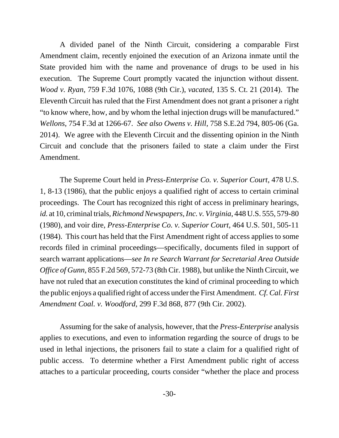A divided panel of the Ninth Circuit, considering a comparable First Amendment claim, recently enjoined the execution of an Arizona inmate until the State provided him with the name and provenance of drugs to be used in his execution. The Supreme Court promptly vacated the injunction without dissent. *Wood v. Ryan*, 759 F.3d 1076, 1088 (9th Cir.), *vacated*, 135 S. Ct. 21 (2014). The Eleventh Circuit has ruled that the First Amendment does not grant a prisoner a right "to know where, how, and by whom the lethal injection drugs will be manufactured." *Wellons*, 754 F.3d at 1266-67. *See also Owens v. Hill*, 758 S.E.2d 794, 805-06 (Ga. 2014). We agree with the Eleventh Circuit and the dissenting opinion in the Ninth Circuit and conclude that the prisoners failed to state a claim under the First Amendment.

The Supreme Court held in *Press-Enterprise Co. v. Superior Court*, 478 U.S. 1, 8-13 (1986), that the public enjoys a qualified right of access to certain criminal proceedings. The Court has recognized this right of access in preliminary hearings, *id.* at 10, criminal trials, *Richmond Newspapers, Inc. v. Virginia*, 448 U.S. 555, 579-80 (1980), and voir dire, *Press-Enterprise Co. v. Superior Court*, 464 U.S. 501, 505-11 (1984). This court has held that the First Amendment right of access applies to some records filed in criminal proceedings—specifically, documents filed in support of search warrant applications—*see In re Search Warrant for Secretarial Area Outside Office of Gunn*, 855 F.2d 569, 572-73 (8th Cir. 1988), but unlike the Ninth Circuit, we have not ruled that an execution constitutes the kind of criminal proceeding to which the public enjoys a qualified right of access under the First Amendment. *Cf.Cal. First Amendment Coal. v. Woodford*, 299 F.3d 868, 877 (9th Cir. 2002).

Assuming for the sake of analysis, however, that the *Press-Enterprise* analysis applies to executions, and even to information regarding the source of drugs to be used in lethal injections, the prisoners fail to state a claim for a qualified right of public access. To determine whether a First Amendment public right of access attaches to a particular proceeding, courts consider "whether the place and process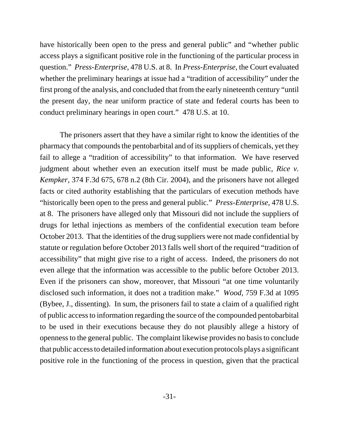have historically been open to the press and general public" and "whether public access plays a significant positive role in the functioning of the particular process in question." *Press-Enterprise*, 478 U.S. at 8. In *Press-Enterprise*, the Court evaluated whether the preliminary hearings at issue had a "tradition of accessibility" under the first prong of the analysis, and concluded that from the early nineteenth century "until the present day, the near uniform practice of state and federal courts has been to conduct preliminary hearings in open court." 478 U.S. at 10.

The prisoners assert that they have a similar right to know the identities of the pharmacy that compounds the pentobarbital and of its suppliers of chemicals, yet they fail to allege a "tradition of accessibility" to that information. We have reserved judgment about whether even an execution itself must be made public, *Rice v. Kempker*, 374 F.3d 675, 678 n.2 (8th Cir. 2004), and the prisoners have not alleged facts or cited authority establishing that the particulars of execution methods have "historically been open to the press and general public." *Press-Enterprise*, 478 U.S. at 8. The prisoners have alleged only that Missouri did not include the suppliers of drugs for lethal injections as members of the confidential execution team before October 2013. That the identities of the drug suppliers were not made confidential by statute or regulation before October 2013 falls well short of the required "tradition of accessibility" that might give rise to a right of access. Indeed, the prisoners do not even allege that the information was accessible to the public before October 2013. Even if the prisoners can show, moreover, that Missouri "at one time voluntarily disclosed such information, it does not a tradition make." *Wood*, 759 F.3d at 1095 (Bybee, J., dissenting). In sum, the prisoners fail to state a claim of a qualified right of public access to information regarding the source of the compounded pentobarbital to be used in their executions because they do not plausibly allege a history of openness to the general public. The complaint likewise provides no basis to conclude that public access to detailed information about execution protocols plays a significant positive role in the functioning of the process in question, given that the practical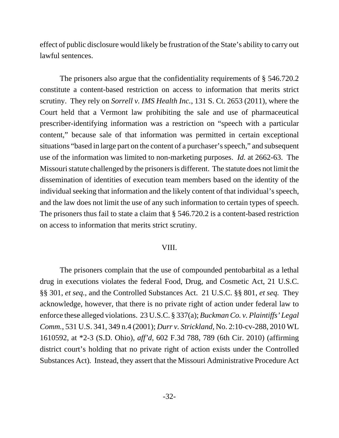effect of public disclosure would likely be frustration of the State's ability to carry out lawful sentences.

The prisoners also argue that the confidentiality requirements of § 546.720.2 constitute a content-based restriction on access to information that merits strict scrutiny. They rely on *Sorrell v. IMS Health Inc.*, 131 S. Ct. 2653 (2011), where the Court held that a Vermont law prohibiting the sale and use of pharmaceutical prescriber-identifying information was a restriction on "speech with a particular content," because sale of that information was permitted in certain exceptional situations "based in large part on the content of a purchaser's speech," and subsequent use of the information was limited to non-marketing purposes. *Id.* at 2662-63. The Missouri statute challenged by the prisoners is different. The statute does not limit the dissemination of identities of execution team members based on the identity of the individual seeking that information and the likely content of that individual's speech, and the law does not limit the use of any such information to certain types of speech. The prisoners thus fail to state a claim that  $\S$  546.720.2 is a content-based restriction on access to information that merits strict scrutiny.

#### VIII.

The prisoners complain that the use of compounded pentobarbital as a lethal drug in executions violates the federal Food, Drug, and Cosmetic Act, 21 U.S.C. §§ 301, *et seq.*, and the Controlled Substances Act. 21 U.S.C. §§ 801, *et seq.* They acknowledge, however, that there is no private right of action under federal law to enforce these alleged violations. 23 U.S.C. § 337(a); *Buckman Co. v. Plaintiffs' Legal Comm.*, 531 U.S. 341, 349 n.4 (2001); *Durr v. Strickland*, No. 2:10-cv-288, 2010 WL 1610592, at \*2-3 (S.D. Ohio), *aff'd*, 602 F.3d 788, 789 (6th Cir. 2010) (affirming district court's holding that no private right of action exists under the Controlled Substances Act)*.* Instead, they assert that the Missouri Administrative Procedure Act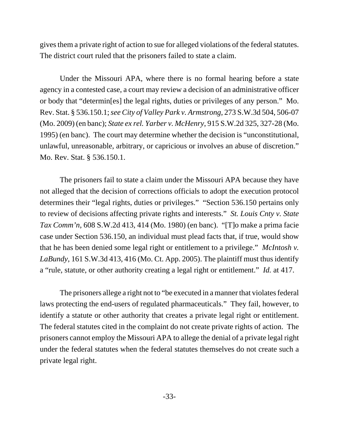gives them a private right of action to sue for alleged violations of the federal statutes. The district court ruled that the prisoners failed to state a claim.

Under the Missouri APA, where there is no formal hearing before a state agency in a contested case, a court may review a decision of an administrative officer or body that "determin[es] the legal rights, duties or privileges of any person." Mo. Rev. Stat. § 536.150.1; *see City of Valley Park v. Armstrong*, 273 S.W.3d 504, 506-07 (Mo. 2009) (en banc); *State ex rel. Yarber v. McHenry*, 915 S.W.2d 325, 327-28 (Mo. 1995) (en banc). The court may determine whether the decision is "unconstitutional, unlawful, unreasonable, arbitrary, or capricious or involves an abuse of discretion." Mo. Rev. Stat. § 536.150.1.

The prisoners fail to state a claim under the Missouri APA because they have not alleged that the decision of corrections officials to adopt the execution protocol determines their "legal rights, duties or privileges." "Section 536.150 pertains only to review of decisions affecting private rights and interests." *St. Louis Cnty v. State Tax Comm'n*, 608 S.W.2d 413, 414 (Mo. 1980) (en banc). "[T]o make a prima facie case under Section 536.150, an individual must plead facts that, if true, would show that he has been denied some legal right or entitlement to a privilege." *McIntosh v. LaBundy*, 161 S.W.3d 413, 416 (Mo. Ct. App. 2005). The plaintiff must thus identify a "rule, statute, or other authority creating a legal right or entitlement." *Id.* at 417.

The prisoners allege a right not to "be executed in a manner that violates federal laws protecting the end-users of regulated pharmaceuticals." They fail, however, to identify a statute or other authority that creates a private legal right or entitlement. The federal statutes cited in the complaint do not create private rights of action. The prisoners cannot employ the Missouri APA to allege the denial of a private legal right under the federal statutes when the federal statutes themselves do not create such a private legal right.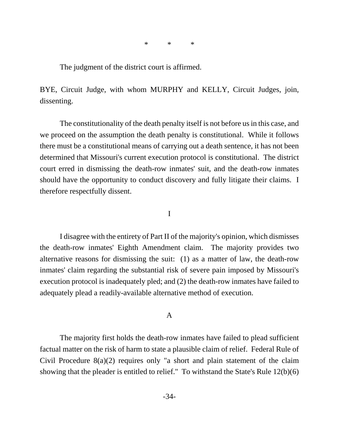\* \* \*

The judgment of the district court is affirmed.

BYE, Circuit Judge, with whom MURPHY and KELLY, Circuit Judges, join, dissenting.

The constitutionality of the death penalty itself is not before us in this case, and we proceed on the assumption the death penalty is constitutional. While it follows there must be a constitutional means of carrying out a death sentence, it has not been determined that Missouri's current execution protocol is constitutional. The district court erred in dismissing the death-row inmates' suit, and the death-row inmates should have the opportunity to conduct discovery and fully litigate their claims. I therefore respectfully dissent.

I

I disagree with the entirety of Part II of the majority's opinion, which dismisses the death-row inmates' Eighth Amendment claim. The majority provides two alternative reasons for dismissing the suit: (1) as a matter of law, the death-row inmates' claim regarding the substantial risk of severe pain imposed by Missouri's execution protocol is inadequately pled; and (2) the death-row inmates have failed to adequately plead a readily-available alternative method of execution.

## A

The majority first holds the death-row inmates have failed to plead sufficient factual matter on the risk of harm to state a plausible claim of relief. Federal Rule of Civil Procedure 8(a)(2) requires only "a short and plain statement of the claim showing that the pleader is entitled to relief." To withstand the State's Rule 12(b)(6)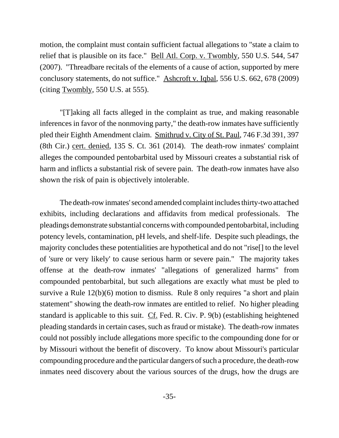motion, the complaint must contain sufficient factual allegations to "state a claim to relief that is plausible on its face." Bell Atl. Corp. v. Twombly, 550 U.S. 544, 547 (2007). "Threadbare recitals of the elements of a cause of action, supported by mere conclusory statements, do not suffice." Ashcroft v. Iqbal, 556 U.S. 662, 678 (2009) (citing Twombly, 550 U.S. at 555).

"[T]aking all facts alleged in the complaint as true, and making reasonable inferences in favor of the nonmoving party," the death-row inmates have sufficiently pled their Eighth Amendment claim. Smithrud v. City of St. Paul, 746 F.3d 391, 397 (8th Cir.) cert. denied, 135 S. Ct. 361 (2014). The death-row inmates' complaint alleges the compounded pentobarbital used by Missouri creates a substantial risk of harm and inflicts a substantial risk of severe pain. The death-row inmates have also shown the risk of pain is objectively intolerable.

The death-row inmates' second amended complaint includes thirty-two attached exhibits, including declarations and affidavits from medical professionals. The pleadings demonstrate substantial concerns with compounded pentobarbital, including potency levels, contamination, pH levels, and shelf-life. Despite such pleadings, the majority concludes these potentialities are hypothetical and do not "rise[] to the level of 'sure or very likely' to cause serious harm or severe pain." The majority takes offense at the death-row inmates' "allegations of generalized harms" from compounded pentobarbital, but such allegations are exactly what must be pled to survive a Rule  $12(b)(6)$  motion to dismiss. Rule 8 only requires "a short and plain statement" showing the death-row inmates are entitled to relief. No higher pleading standard is applicable to this suit. Cf. Fed. R. Civ. P. 9(b) (establishing heightened pleading standards in certain cases, such as fraud or mistake). The death-row inmates could not possibly include allegations more specific to the compounding done for or by Missouri without the benefit of discovery. To know about Missouri's particular compounding procedure and the particular dangers of such a procedure, the death-row inmates need discovery about the various sources of the drugs, how the drugs are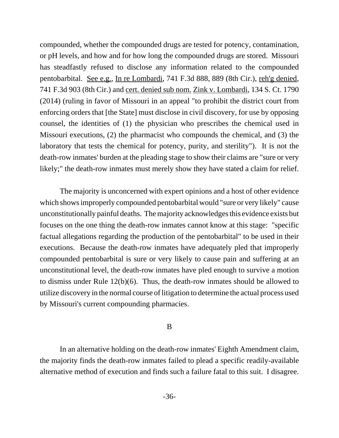compounded, whether the compounded drugs are tested for potency, contamination, or pH levels, and how and for how long the compounded drugs are stored. Missouri has steadfastly refused to disclose any information related to the compounded pentobarbital. See e.g., In re Lombardi, 741 F.3d 888, 889 (8th Cir.), reh'g denied, 741 F.3d 903 (8th Cir.) and cert. denied sub nom. Zink v. Lombardi, 134 S. Ct. 1790 (2014) (ruling in favor of Missouri in an appeal "to prohibit the district court from enforcing orders that [the State] must disclose in civil discovery, for use by opposing counsel, the identities of (1) the physician who prescribes the chemical used in Missouri executions, (2) the pharmacist who compounds the chemical, and (3) the laboratory that tests the chemical for potency, purity, and sterility"). It is not the death-row inmates' burden at the pleading stage to show their claims are "sure or very likely;" the death-row inmates must merely show they have stated a claim for relief.

The majority is unconcerned with expert opinions and a host of other evidence which shows improperly compounded pentobarbital would "sure or very likely" cause unconstitutionally painful deaths. The majority acknowledges this evidence exists but focuses on the one thing the death-row inmates cannot know at this stage: "specific factual allegations regarding the production of the pentobarbital" to be used in their executions. Because the death-row inmates have adequately pled that improperly compounded pentobarbital is sure or very likely to cause pain and suffering at an unconstitutional level, the death-row inmates have pled enough to survive a motion to dismiss under Rule 12(b)(6). Thus, the death-row inmates should be allowed to utilize discovery in the normal course of litigation to determine the actual process used by Missouri's current compounding pharmacies.

# B

In an alternative holding on the death-row inmates' Eighth Amendment claim, the majority finds the death-row inmates failed to plead a specific readily-available alternative method of execution and finds such a failure fatal to this suit. I disagree.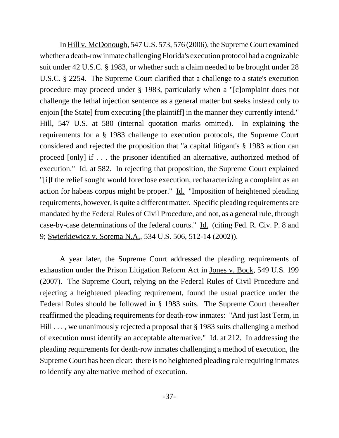In Hill v. McDonough, 547 U.S. 573, 576 (2006), the Supreme Court examined whether a death-row inmate challenging Florida's execution protocol had a cognizable suit under 42 U.S.C. § 1983, or whether such a claim needed to be brought under 28 U.S.C. § 2254. The Supreme Court clarified that a challenge to a state's execution procedure may proceed under § 1983, particularly when a "[c]omplaint does not challenge the lethal injection sentence as a general matter but seeks instead only to enjoin [the State] from executing [the plaintiff] in the manner they currently intend." Hill, 547 U.S. at 580 (internal quotation marks omitted). In explaining the requirements for a § 1983 challenge to execution protocols, the Supreme Court considered and rejected the proposition that "a capital litigant's § 1983 action can proceed [only] if . . . the prisoner identified an alternative, authorized method of execution." Id. at 582. In rejecting that proposition, the Supreme Court explained "[i]f the relief sought would foreclose execution, recharacterizing a complaint as an action for habeas corpus might be proper." Id. "Imposition of heightened pleading requirements, however, is quite a different matter. Specific pleading requirements are mandated by the Federal Rules of Civil Procedure, and not, as a general rule, through case-by-case determinations of the federal courts." Id. (citing Fed. R. Civ. P. 8 and 9; Swierkiewicz v. Sorema N.A., 534 U.S. 506, 512-14 (2002)).

A year later, the Supreme Court addressed the pleading requirements of exhaustion under the Prison Litigation Reform Act in <u>Jones v. Bock</u>, 549 U.S. 199 (2007). The Supreme Court, relying on the Federal Rules of Civil Procedure and rejecting a heightened pleading requirement, found the usual practice under the Federal Rules should be followed in § 1983 suits. The Supreme Court thereafter reaffirmed the pleading requirements for death-row inmates: "And just last Term, in Hill . . . , we unanimously rejected a proposal that § 1983 suits challenging a method of execution must identify an acceptable alternative." Id. at 212. In addressing the pleading requirements for death-row inmates challenging a method of execution, the Supreme Court has been clear: there is no heightened pleading rule requiring inmates to identify any alternative method of execution.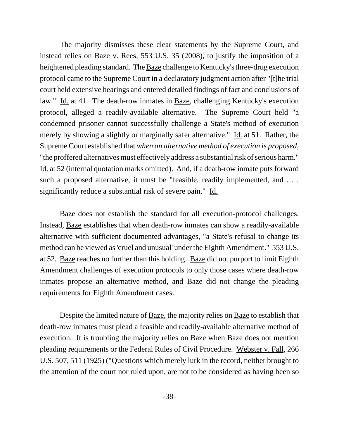The majority dismisses these clear statements by the Supreme Court, and instead relies on Baze v. Rees, 553 U.S. 35 (2008), to justify the imposition of a heightened pleading standard. The Baze challenge to Kentucky's three-drug execution protocol came to the Supreme Court in a declaratory judgment action after "[t]he trial court held extensive hearings and entered detailed findings of fact and conclusions of law." Id. at 41. The death-row inmates in Baze, challenging Kentucky's execution protocol, alleged a readily-available alternative. The Supreme Court held "a condemned prisoner cannot successfully challenge a State's method of execution merely by showing a slightly or marginally safer alternative." Id. at 51. Rather, the Supreme Court established that *when an alternative method of execution is proposed*, "the proffered alternatives must effectively address a substantial risk of serious harm." Id. at 52 (internal quotation marks omitted). And, if a death-row inmate puts forward such a proposed alternative, it must be "feasible, readily implemented, and . . . significantly reduce a substantial risk of severe pain." Id.

Baze does not establish the standard for all execution-protocol challenges. Instead, Baze establishes that when death-row inmates can show a readily-available alternative with sufficient documented advantages, "a State's refusal to change its method can be viewed as 'cruel and unusual' under the Eighth Amendment." 553 U.S. at 52. Baze reaches no further than this holding. Baze did not purport to limit Eighth Amendment challenges of execution protocols to only those cases where death-row inmates propose an alternative method, and <u>Baze</u> did not change the pleading requirements for Eighth Amendment cases.

Despite the limited nature of <u>Baze</u>, the majority relies on **Baze** to establish that death-row inmates must plead a feasible and readily-available alternative method of execution. It is troubling the majority relies on Baze when Baze does not mention pleading requirements or the Federal Rules of Civil Procedure. Webster v. Fall, 266 U.S. 507, 511 (1925) ("Questions which merely lurk in the record, neither brought to the attention of the court nor ruled upon, are not to be considered as having been so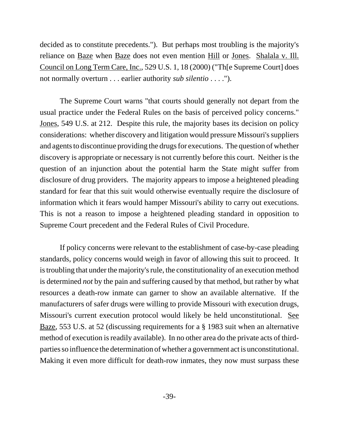decided as to constitute precedents."). But perhaps most troubling is the majority's reliance on <u>Baze</u> when <u>Baze</u> does not even mention <u>Hill</u> or <u>Jones. Shalala v. Ill.</u> Council on Long Term Care, Inc., 529 U.S. 1, 18 (2000) ("Th[e Supreme Court] does not normally overturn . . . earlier authority *sub silentio* . . . .").

The Supreme Court warns "that courts should generally not depart from the usual practice under the Federal Rules on the basis of perceived policy concerns." Jones, 549 U.S. at 212. Despite this rule, the majority bases its decision on policy considerations: whether discovery and litigation would pressure Missouri's suppliers and agents to discontinue providing the drugs for executions. The question of whether discovery is appropriate or necessary is not currently before this court. Neither is the question of an injunction about the potential harm the State might suffer from disclosure of drug providers. The majority appears to impose a heightened pleading standard for fear that this suit would otherwise eventually require the disclosure of information which it fears would hamper Missouri's ability to carry out executions. This is not a reason to impose a heightened pleading standard in opposition to Supreme Court precedent and the Federal Rules of Civil Procedure.

If policy concerns were relevant to the establishment of case-by-case pleading standards, policy concerns would weigh in favor of allowing this suit to proceed. It is troubling that under the majority's rule, the constitutionality of an execution method is determined *not* by the pain and suffering caused by that method, but rather by what resources a death-row inmate can garner to show an available alternative. If the manufacturers of safer drugs were willing to provide Missouri with execution drugs, Missouri's current execution protocol would likely be held unconstitutional. See Baze, 553 U.S. at 52 (discussing requirements for a § 1983 suit when an alternative method of execution is readily available). In no other area do the private acts of thirdparties so influence the determination of whether a government act is unconstitutional. Making it even more difficult for death-row inmates, they now must surpass these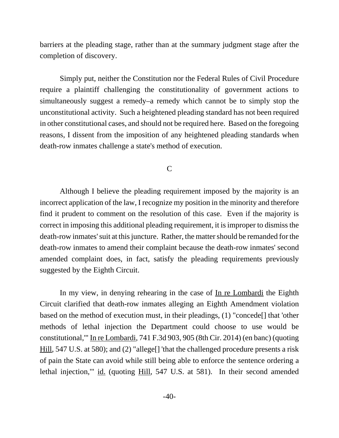barriers at the pleading stage, rather than at the summary judgment stage after the completion of discovery.

Simply put, neither the Constitution nor the Federal Rules of Civil Procedure require a plaintiff challenging the constitutionality of government actions to simultaneously suggest a remedy–a remedy which cannot be to simply stop the unconstitutional activity. Such a heightened pleading standard has not been required in other constitutional cases, and should not be required here. Based on the foregoing reasons, I dissent from the imposition of any heightened pleading standards when death-row inmates challenge a state's method of execution.

C

Although I believe the pleading requirement imposed by the majority is an incorrect application of the law, I recognize my position in the minority and therefore find it prudent to comment on the resolution of this case. Even if the majority is correct in imposing this additional pleading requirement, it is improper to dismiss the death-row inmates' suit at this juncture. Rather, the matter should be remanded for the death-row inmates to amend their complaint because the death-row inmates' second amended complaint does, in fact, satisfy the pleading requirements previously suggested by the Eighth Circuit.

In my view, in denying rehearing in the case of In re Lombardi the Eighth Circuit clarified that death-row inmates alleging an Eighth Amendment violation based on the method of execution must, in their pleadings, (1) "concede[] that 'other methods of lethal injection the Department could choose to use would be constitutional,'" In re Lombardi, 741 F.3d 903, 905 (8th Cir. 2014) (en banc) (quoting Hill, 547 U.S. at 580); and (2) "allege<sup>[]</sup> 'that the challenged procedure presents a risk of pain the State can avoid while still being able to enforce the sentence ordering a lethal injection,'" id. (quoting Hill, 547 U.S. at 581). In their second amended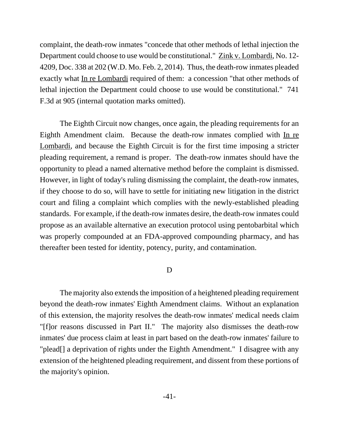complaint, the death-row inmates "concede that other methods of lethal injection the Department could choose to use would be constitutional." Zink v. Lombardi, No. 12- 4209, Doc. 338 at 202 (W.D. Mo. Feb. 2, 2014). Thus, the death-row inmates pleaded exactly what <u>In re Lombardi</u> required of them: a concession "that other methods of lethal injection the Department could choose to use would be constitutional." 741 F.3d at 905 (internal quotation marks omitted).

The Eighth Circuit now changes, once again, the pleading requirements for an Eighth Amendment claim. Because the death-row inmates complied with In re Lombardi, and because the Eighth Circuit is for the first time imposing a stricter pleading requirement, a remand is proper. The death-row inmates should have the opportunity to plead a named alternative method before the complaint is dismissed. However, in light of today's ruling dismissing the complaint, the death-row inmates, if they choose to do so, will have to settle for initiating new litigation in the district court and filing a complaint which complies with the newly-established pleading standards. For example, if the death-row inmates desire, the death-row inmates could propose as an available alternative an execution protocol using pentobarbital which was properly compounded at an FDA-approved compounding pharmacy, and has thereafter been tested for identity, potency, purity, and contamination.

#### D

The majority also extends the imposition of a heightened pleading requirement beyond the death-row inmates' Eighth Amendment claims. Without an explanation of this extension, the majority resolves the death-row inmates' medical needs claim "[f]or reasons discussed in Part II." The majority also dismisses the death-row inmates' due process claim at least in part based on the death-row inmates' failure to "plead[] a deprivation of rights under the Eighth Amendment." I disagree with any extension of the heightened pleading requirement, and dissent from these portions of the majority's opinion.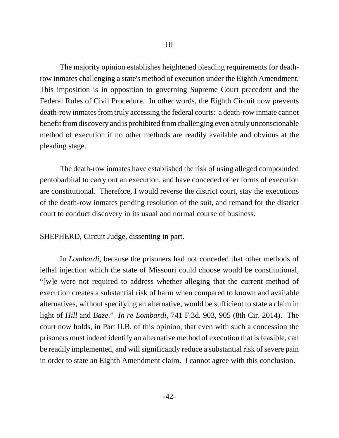The majority opinion establishes heightened pleading requirements for deathrow inmates challenging a state's method of execution under the Eighth Amendment. This imposition is in opposition to governing Supreme Court precedent and the Federal Rules of Civil Procedure. In other words, the Eighth Circuit now prevents death-row inmates from truly accessing the federal courts: a death-row inmate cannot benefit from discovery and is prohibited from challenging even a truly unconscionable method of execution if no other methods are readily available and obvious at the pleading stage.

The death-row inmates have established the risk of using alleged compounded pentobarbital to carry out an execution, and have conceded other forms of execution are constitutional. Therefore, I would reverse the district court, stay the executions of the death-row inmates pending resolution of the suit, and remand for the district court to conduct discovery in its usual and normal course of business.

SHEPHERD, Circuit Judge, dissenting in part.

In *Lombardi*, because the prisoners had not conceded that other methods of lethal injection which the state of Missouri could choose would be constitutional*,*  "[w]e were not required to address whether alleging that the current method of execution creates a substantial risk of harm when compared to known and available alternatives, without specifying an alternative, would be sufficient to state a claim in light of *Hill* and *Baze*." *In re Lombardi*, 741 F.3d. 903, 905 (8th Cir. 2014). The court now holds, in Part II.B. of this opinion, that even with such a concession the prisoners must indeed identify an alternative method of execution that is feasible, can be readily implemented, and will significantly reduce a substantial risk of severe pain in order to state an Eighth Amendment claim. I cannot agree with this conclusion.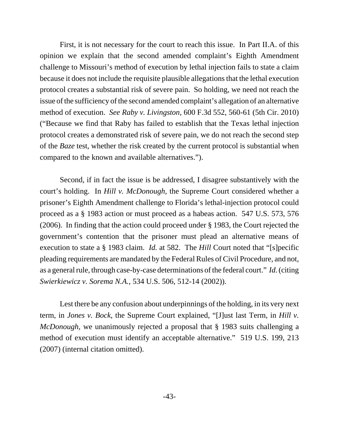First, it is not necessary for the court to reach this issue. In Part II.A. of this opinion we explain that the second amended complaint's Eighth Amendment challenge to Missouri's method of execution by lethal injection fails to state a claim because it does not include the requisite plausible allegations that the lethal execution protocol creates a substantial risk of severe pain. So holding, we need not reach the issue of the sufficiency of the second amended complaint's allegation of an alternative method of execution. *See Raby v. Livingston*, 600 F.3d 552, 560-61 (5th Cir. 2010) ("Because we find that Raby has failed to establish that the Texas lethal injection protocol creates a demonstrated risk of severe pain, we do not reach the second step of the *Baze* test, whether the risk created by the current protocol is substantial when compared to the known and available alternatives.").

Second, if in fact the issue is be addressed, I disagree substantively with the court's holding. In *Hill v. McDonough*, the Supreme Court considered whether a prisoner's Eighth Amendment challenge to Florida's lethal-injection protocol could proceed as a § 1983 action or must proceed as a habeas action. 547 U.S. 573, 576 (2006). In finding that the action could proceed under § 1983, the Court rejected the government's contention that the prisoner must plead an alternative means of execution to state a § 1983 claim. *Id.* at 582. The *Hill* Court noted that "[s]pecific pleading requirements are mandated by the Federal Rules of Civil Procedure, and not, as a general rule, through case-by-case determinations of the federal court." *Id.* (citing *Swierkiewicz v. Sorema N.A.*, 534 U.S. 506, 512-14 (2002)).

Lest there be any confusion about underpinnings of the holding, in its very next term, in *Jones v. Bock*, the Supreme Court explained, "[J]ust last Term, in *Hill v. McDonough*, we unanimously rejected a proposal that § 1983 suits challenging a method of execution must identify an acceptable alternative." 519 U.S. 199, 213 (2007) (internal citation omitted).